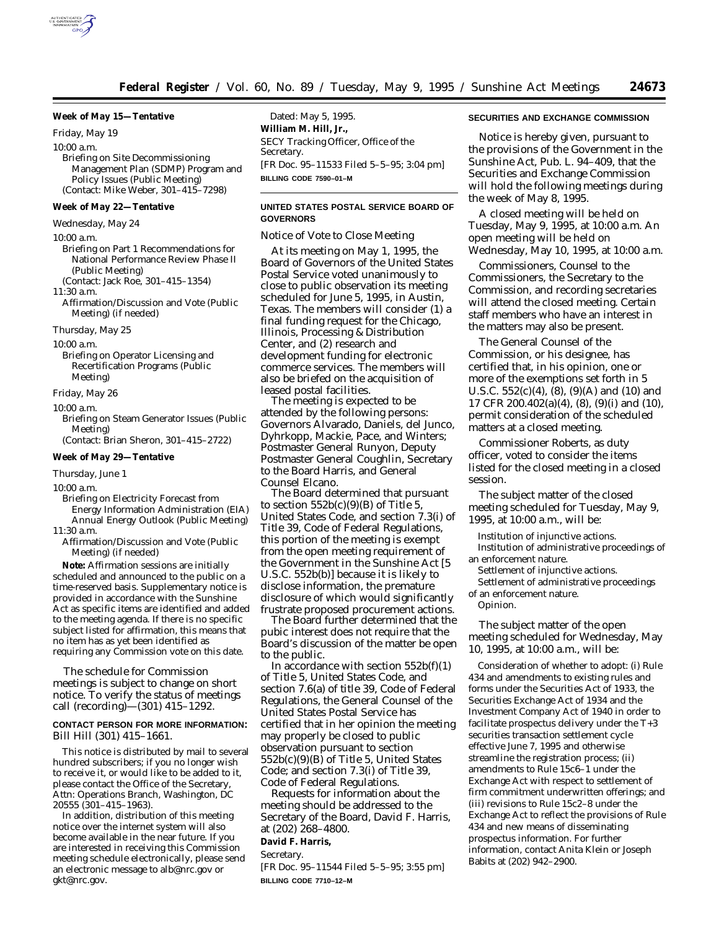

### **Week of May 15—Tentative**

*Friday, May 19* 10:00 a.m. Briefing on Site Decommissioning Management Plan (SDMP) Program and Policy Issues (Public Meeting) (Contact: Mike Weber, 301–415–7298)

#### **Week of May 22—Tentative**

*Wednesday, May 24*

10:00 a.m.

Briefing on Part 1 Recommendations for National Performance Review Phase II (Public Meeting) (Contact: Jack Roe, 301–415–1354)

11:30 a.m.

Affirmation/Discussion and Vote (Public Meeting) (if needed)

*Thursday, May 25*

10:00 a.m.

Briefing on Operator Licensing and Recertification Programs (Public Meeting)

*Friday, May 26*

10:00 a.m.

- Briefing on Steam Generator Issues (Public Meeting)
- (Contact: Brian Sheron, 301–415–2722)

### **Week of May 29—Tentative**

*Thursday, June 1*

 $10:00 a.m.$ 

- Briefing on Electricity Forecast from Energy Information Administration (EIA) Annual Energy Outlook (Public Meeting)
- $11:30 a.m.$
- Affirmation/Discussion and Vote (Public Meeting) (if needed)

**Note:** Affirmation sessions are initially scheduled and announced to the public on a time-reserved basis. Supplementary notice is provided in accordance with the Sunshine Act as specific items are identified and added to the meeting agenda. If there is no specific subject listed for affirmation, this means that no item has as yet been identified as requiring any Commission vote on this date.

The schedule for Commission meetings is subject to change on short notice. To verify the status of meetings call (recording)—(301) 415–1292.

### **CONTACT PERSON FOR MORE INFORMATION:** Bill Hill (301) 415–1661.

This notice is distributed by mail to several hundred subscribers; if you no longer wish to receive it, or would like to be added to it, please contact the Office of the Secretary, Attn: Operations Branch, Washington, DC 20555 (301–415–1963).

In addition, distribution of this meeting notice over the internet system will also become available in the near future. If you are interested in receiving this Commission meeting schedule electronically, please send an electronic message to alb@nrc.gov or gkt@nrc.gov.

Dated: May 5, 1995. **William M. Hill, Jr.,** *SECY Tracking Officer, Office of the Secretary.* [FR Doc. 95–11533 Filed 5–5–95; 3:04 pm] **BILLING CODE 7590–01–M**

### **UNITED STATES POSTAL SERVICE BOARD OF GOVERNORS**

Notice of Vote to Close Meeting

At its meeting on May 1, 1995, the Board of Governors of the United States Postal Service voted unanimously to close to public observation its meeting scheduled for June 5, 1995, in Austin, Texas. The members will consider (1) a final funding request for the Chicago, Illinois, Processing & Distribution Center, and (2) research and development funding for electronic commerce services. The members will also be briefed on the acquisition of leased postal facilities.

The meeting is expected to be attended by the following persons: Governors Alvarado, Daniels, del Junco, Dyhrkopp, Mackie, Pace, and Winters; Postmaster General Runyon, Deputy Postmaster General Coughlin, Secretary to the Board Harris, and General Counsel Elcano.

The Board determined that pursuant to section  $552b(c)(9)(B)$  of Title 5, United States Code, and section 7.3(i) of Title 39, Code of Federal Regulations, this portion of the meeting is exempt from the open meeting requirement of the Government in the Sunshine Act [5 U.S.C. 552b(b)] because it is likely to disclose information, the premature disclosure of which would significantly frustrate proposed procurement actions.

The Board further determined that the pubic interest does not require that the Board's discussion of the matter be open to the public.

In accordance with section  $552b(f)(1)$ of Title 5, United States Code, and section 7.6(a) of title 39, Code of Federal Regulations, the General Counsel of the United States Postal Service has certified that in her opinion the meeting may properly be closed to public observation pursuant to section 552b(c)(9)(B) of Title 5, United States Code; and section 7.3(i) of Title 39, Code of Federal Regulations.

Requests for information about the meeting should be addressed to the Secretary of the Board, David F. Harris, at (202) 268–4800.

# **David F. Harris,**

*Secretary.*

[FR Doc. 95–11544 Filed 5–5–95; 3:55 pm] **BILLING CODE 7710–12–M**

## **SECURITIES AND EXCHANGE COMMISSION**

Notice is hereby given, pursuant to the provisions of the Government in the Sunshine Act, Pub. L. 94–409, that the Securities and Exchange Commission will hold the following meetings during the week of May 8, 1995.

A closed meeting will be held on Tuesday, May 9, 1995, at 10:00 a.m. An open meeting will be held on Wednesday, May 10, 1995, at 10:00 a.m.

Commissioners, Counsel to the Commissioners, the Secretary to the Commission, and recording secretaries will attend the closed meeting. Certain staff members who have an interest in the matters may also be present.

The General Counsel of the Commission, or his designee, has certified that, in his opinion, one or more of the exemptions set forth in 5 U.S.C.  $552(c)(4)$ ,  $(8)$ ,  $(9)(A)$  and  $(10)$  and 17 CFR 200.402(a)(4), (8), (9)(i) and (10), permit consideration of the scheduled matters at a closed meeting.

Commissioner Roberts, as duty officer, voted to consider the items listed for the closed meeting in a closed session.

The subject matter of the closed meeting scheduled for Tuesday, May 9, 1995, at 10:00 a.m., will be:

Institution of injunctive actions. Institution of administrative proceedings of an enforcement nature.

Settlement of injunctive actions.

Settlement of administrative proceedings of an enforcement nature.

Opinion.

The subject matter of the open meeting scheduled for Wednesday, May 10, 1995, at 10:00 a.m., will be:

Consideration of whether to adopt: (i) Rule 434 and amendments to existing rules and forms under the Securities Act of 1933, the Securities Exchange Act of 1934 and the Investment Company Act of 1940 in order to facilitate prospectus delivery under the T+3 securities transaction settlement cycle effective June 7, 1995 and otherwise streamline the registration process; (ii) amendments to Rule 15c6–1 under the Exchange Act with respect to settlement of firm commitment underwritten offerings; and (iii) revisions to Rule 15c2–8 under the Exchange Act to reflect the provisions of Rule 434 and new means of disseminating prospectus information. For further information, contact Anita Klein or Joseph Babits at (202) 942–2900.